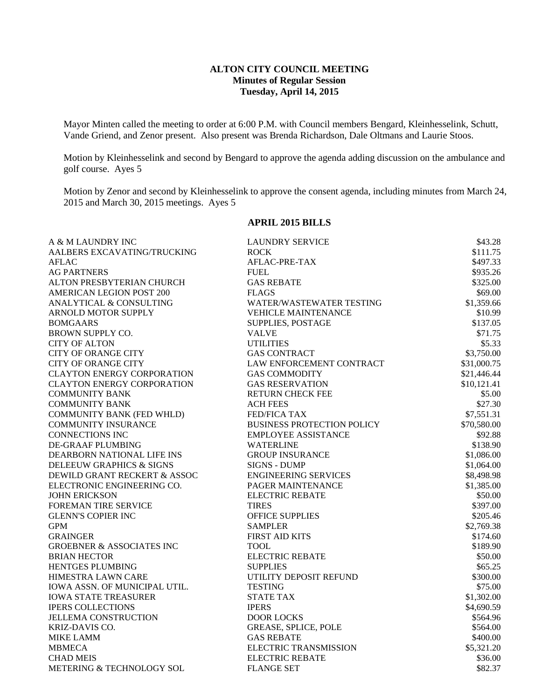# **ALTON CITY COUNCIL MEETING Minutes of Regular Session Tuesday, April 14, 2015**

Mayor Minten called the meeting to order at 6:00 P.M. with Council members Bengard, Kleinhesselink, Schutt, Vande Griend, and Zenor present. Also present was Brenda Richardson, Dale Oltmans and Laurie Stoos.

Motion by Kleinhesselink and second by Bengard to approve the agenda adding discussion on the ambulance and golf course. Ayes 5

Motion by Zenor and second by Kleinhesselink to approve the consent agenda, including minutes from March 24, 2015 and March 30, 2015 meetings. Ayes 5

## **APRIL 2015 BILLS**

| A & M LAUNDRY INC                    | <b>LAUNDRY SERVICE</b>            | \$43.28     |
|--------------------------------------|-----------------------------------|-------------|
| AALBERS EXCAVATING/TRUCKING          | <b>ROCK</b>                       | \$111.75    |
| <b>AFLAC</b>                         | AFLAC-PRE-TAX                     | \$497.33    |
| <b>AG PARTNERS</b>                   | <b>FUEL</b>                       | \$935.26    |
| ALTON PRESBYTERIAN CHURCH            | <b>GAS REBATE</b>                 | \$325.00    |
| <b>AMERICAN LEGION POST 200</b>      | <b>FLAGS</b>                      | \$69.00     |
| ANALYTICAL & CONSULTING              | WATER/WASTEWATER TESTING          | \$1,359.66  |
| ARNOLD MOTOR SUPPLY                  | <b>VEHICLE MAINTENANCE</b>        | \$10.99     |
| <b>BOMGAARS</b>                      | SUPPLIES, POSTAGE                 | \$137.05    |
| BROWN SUPPLY CO.                     | <b>VALVE</b>                      | \$71.75     |
| <b>CITY OF ALTON</b>                 | <b>UTILITIES</b>                  | \$5.33      |
| <b>CITY OF ORANGE CITY</b>           | <b>GAS CONTRACT</b>               | \$3,750.00  |
| <b>CITY OF ORANGE CITY</b>           | LAW ENFORCEMENT CONTRACT          | \$31,000.75 |
| <b>CLAYTON ENERGY CORPORATION</b>    | <b>GAS COMMODITY</b>              | \$21,446.44 |
| <b>CLAYTON ENERGY CORPORATION</b>    | <b>GAS RESERVATION</b>            | \$10,121.41 |
| <b>COMMUNITY BANK</b>                | RETURN CHECK FEE                  | \$5.00      |
| <b>COMMUNITY BANK</b>                | <b>ACH FEES</b>                   | \$27.30     |
| <b>COMMUNITY BANK (FED WHLD)</b>     | <b>FED/FICA TAX</b>               | \$7,551.31  |
| <b>COMMUNITY INSURANCE</b>           | <b>BUSINESS PROTECTION POLICY</b> | \$70,580.00 |
| <b>CONNECTIONS INC</b>               | <b>EMPLOYEE ASSISTANCE</b>        | \$92.88     |
| DE-GRAAF PLUMBING                    | <b>WATERLINE</b>                  | \$138.90    |
| DEARBORN NATIONAL LIFE INS           | <b>GROUP INSURANCE</b>            | \$1,086.00  |
| DELEEUW GRAPHICS & SIGNS             | <b>SIGNS - DUMP</b>               | \$1,064.00  |
| DEWILD GRANT RECKERT & ASSOC         | <b>ENGINEERING SERVICES</b>       | \$8,498.98  |
| ELECTRONIC ENGINEERING CO.           | <b>PAGER MAINTENANCE</b>          | \$1,385.00  |
| <b>JOHN ERICKSON</b>                 | <b>ELECTRIC REBATE</b>            | \$50.00     |
| <b>FOREMAN TIRE SERVICE</b>          | <b>TIRES</b>                      | \$397.00    |
| <b>GLENN'S COPIER INC</b>            | <b>OFFICE SUPPLIES</b>            | \$205.46    |
| <b>GPM</b>                           | <b>SAMPLER</b>                    | \$2,769.38  |
| <b>GRAINGER</b>                      | FIRST AID KITS                    | \$174.60    |
| <b>GROEBNER &amp; ASSOCIATES INC</b> | <b>TOOL</b>                       | \$189.90    |
| <b>BRIAN HECTOR</b>                  | <b>ELECTRIC REBATE</b>            | \$50.00     |
| HENTGES PLUMBING                     | <b>SUPPLIES</b>                   | \$65.25     |
| HIMESTRA LAWN CARE                   | UTILITY DEPOSIT REFUND            | \$300.00    |
| IOWA ASSN. OF MUNICIPAL UTIL.        | <b>TESTING</b>                    | \$75.00     |
| <b>IOWA STATE TREASURER</b>          | <b>STATE TAX</b>                  | \$1,302.00  |
| <b>IPERS COLLECTIONS</b>             | <b>IPERS</b>                      | \$4,690.59  |
| <b>JELLEMA CONSTRUCTION</b>          | <b>DOOR LOCKS</b>                 | \$564.96    |
| KRIZ-DAVIS CO.                       | GREASE, SPLICE, POLE              | \$564.00    |
| <b>MIKE LAMM</b>                     | <b>GAS REBATE</b>                 | \$400.00    |
| <b>MBMECA</b>                        | <b>ELECTRIC TRANSMISSION</b>      | \$5,321.20  |
| <b>CHAD MEIS</b>                     | <b>ELECTRIC REBATE</b>            | \$36.00     |
| METERING & TECHNOLOGY SOL            | <b>FLANGE SET</b>                 | \$82.37     |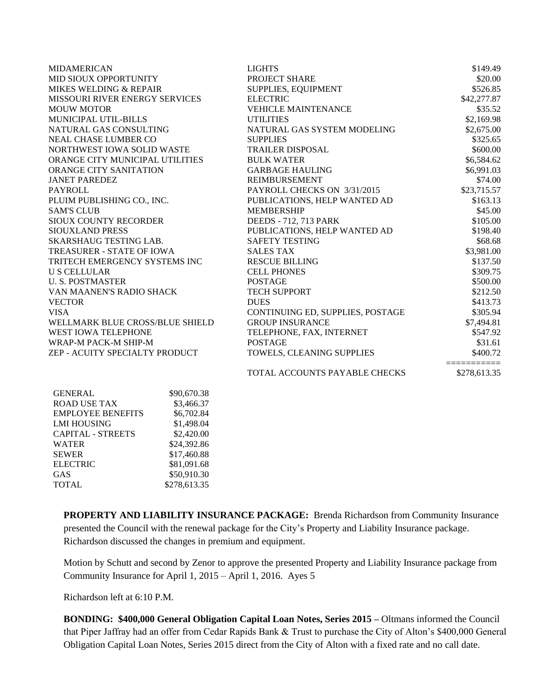| <b>MIDAMERICAN</b>                    |             | <b>LIGHTS</b>                    | \$149.49                    |
|---------------------------------------|-------------|----------------------------------|-----------------------------|
| MID SIOUX OPPORTUNITY                 |             | PROJECT SHARE                    | \$20.00                     |
| MIKES WELDING & REPAIR                |             | SUPPLIES, EQUIPMENT              | \$526.85                    |
| <b>MISSOURI RIVER ENERGY SERVICES</b> |             | <b>ELECTRIC</b>                  | \$42,277.87                 |
| <b>MOUW MOTOR</b>                     |             | <b>VEHICLE MAINTENANCE</b>       | \$35.52                     |
| MUNICIPAL UTIL-BILLS                  |             | <b>UTILITIES</b>                 | \$2,169.98                  |
| NATURAL GAS CONSULTING                |             | NATURAL GAS SYSTEM MODELING      | \$2,675.00                  |
| <b>NEAL CHASE LUMBER CO</b>           |             | <b>SUPPLIES</b>                  | \$325.65                    |
| NORTHWEST IOWA SOLID WASTE            |             | <b>TRAILER DISPOSAL</b>          | \$600.00                    |
| ORANGE CITY MUNICIPAL UTILITIES       |             | <b>BULK WATER</b>                | \$6,584.62                  |
| ORANGE CITY SANITATION                |             | <b>GARBAGE HAULING</b>           | \$6,991.03                  |
| <b>JANET PAREDEZ</b>                  |             | <b>REIMBURSEMENT</b>             | \$74.00                     |
| <b>PAYROLL</b>                        |             | PAYROLL CHECKS ON 3/31/2015      | \$23,715.57                 |
| PLUIM PUBLISHING CO., INC.            |             | PUBLICATIONS, HELP WANTED AD     | \$163.13                    |
| <b>SAM'S CLUB</b>                     |             | <b>MEMBERSHIP</b>                | \$45.00                     |
| SIOUX COUNTY RECORDER                 |             | <b>DEEDS</b> - 712, 713 PARK     | \$105.00                    |
| <b>SIOUXLAND PRESS</b>                |             | PUBLICATIONS, HELP WANTED AD     | \$198.40                    |
| <b>SKARSHAUG TESTING LAB.</b>         |             | <b>SAFETY TESTING</b>            | \$68.68                     |
| TREASURER - STATE OF IOWA             |             | <b>SALES TAX</b>                 | \$3,981.00                  |
| TRITECH EMERGENCY SYSTEMS INC         |             | <b>RESCUE BILLING</b>            | \$137.50                    |
| <b>U S CELLULAR</b>                   |             | <b>CELL PHONES</b>               | \$309.75                    |
| <b>U.S. POSTMASTER</b>                |             | <b>POSTAGE</b>                   | \$500.00                    |
| VAN MAANEN'S RADIO SHACK              |             | <b>TECH SUPPORT</b>              | \$212.50                    |
| <b>VECTOR</b>                         |             | <b>DUES</b>                      | \$413.73                    |
| <b>VISA</b>                           |             | CONTINUING ED, SUPPLIES, POSTAGE | \$305.94                    |
| WELLMARK BLUE CROSS/BLUE SHIELD       |             | <b>GROUP INSURANCE</b>           | \$7,494.81                  |
| <b>WEST IOWA TELEPHONE</b>            |             | TELEPHONE, FAX, INTERNET         | \$547.92                    |
| WRAP-M PACK-M SHIP-M                  |             | <b>POSTAGE</b>                   | \$31.61                     |
| ZEP - ACUITY SPECIALTY PRODUCT        |             | TOWELS, CLEANING SUPPLIES        | \$400.72                    |
|                                       |             | TOTAL ACCOUNTS PAYABLE CHECKS    | ===========<br>\$278,613.35 |
| <b>GENERAL</b>                        | \$90,670.38 |                                  |                             |

| GENERAL                  | \$90,670.38  |
|--------------------------|--------------|
| <b>ROAD USE TAX</b>      | \$3,466.37   |
| <b>EMPLOYEE BENEFITS</b> | \$6,702.84   |
| <b>LMI HOUSING</b>       | \$1,498.04   |
| <b>CAPITAL - STREETS</b> | \$2,420.00   |
| <b>WATER</b>             | \$24,392.86  |
| <b>SEWER</b>             | \$17,460.88  |
| <b>ELECTRIC</b>          | \$81,091.68  |
| <b>GAS</b>               | \$50,910.30  |
| <b>TOTAL</b>             | \$278,613.35 |

**PROPERTY AND LIABILITY INSURANCE PACKAGE:** Brenda Richardson from Community Insurance presented the Council with the renewal package for the City's Property and Liability Insurance package. Richardson discussed the changes in premium and equipment.

Motion by Schutt and second by Zenor to approve the presented Property and Liability Insurance package from Community Insurance for April 1, 2015 – April 1, 2016. Ayes 5

Richardson left at 6:10 P.M.

**BONDING: \$400,000 General Obligation Capital Loan Notes, Series 2015 –** Oltmans informed the Council that Piper Jaffray had an offer from Cedar Rapids Bank & Trust to purchase the City of Alton's \$400,000 General Obligation Capital Loan Notes, Series 2015 direct from the City of Alton with a fixed rate and no call date.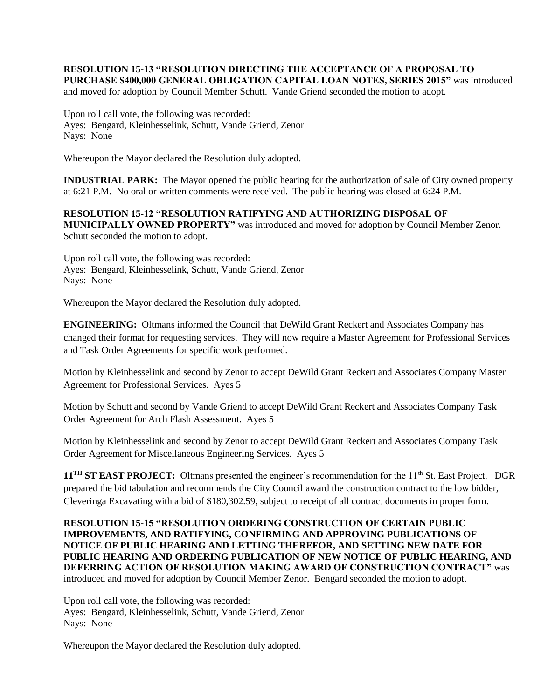## **RESOLUTION 15-13 "RESOLUTION DIRECTING THE ACCEPTANCE OF A PROPOSAL TO PURCHASE \$400,000 GENERAL OBLIGATION CAPITAL LOAN NOTES, SERIES 2015"** was introduced

and moved for adoption by Council Member Schutt. Vande Griend seconded the motion to adopt.

Upon roll call vote, the following was recorded: Ayes: Bengard, Kleinhesselink, Schutt, Vande Griend, Zenor Nays: None

Whereupon the Mayor declared the Resolution duly adopted.

**INDUSTRIAL PARK:** The Mayor opened the public hearing for the authorization of sale of City owned property at 6:21 P.M. No oral or written comments were received. The public hearing was closed at 6:24 P.M.

**RESOLUTION 15-12 "RESOLUTION RATIFYING AND AUTHORIZING DISPOSAL OF MUNICIPALLY OWNED PROPERTY"** was introduced and moved for adoption by Council Member Zenor. Schutt seconded the motion to adopt.

Upon roll call vote, the following was recorded: Ayes: Bengard, Kleinhesselink, Schutt, Vande Griend, Zenor Nays: None

Whereupon the Mayor declared the Resolution duly adopted.

**ENGINEERING:** Oltmans informed the Council that DeWild Grant Reckert and Associates Company has changed their format for requesting services. They will now require a Master Agreement for Professional Services and Task Order Agreements for specific work performed.

Motion by Kleinhesselink and second by Zenor to accept DeWild Grant Reckert and Associates Company Master Agreement for Professional Services. Ayes 5

Motion by Schutt and second by Vande Griend to accept DeWild Grant Reckert and Associates Company Task Order Agreement for Arch Flash Assessment. Ayes 5

Motion by Kleinhesselink and second by Zenor to accept DeWild Grant Reckert and Associates Company Task Order Agreement for Miscellaneous Engineering Services. Ayes 5

**11TH ST EAST PROJECT:** Oltmans presented the engineer's recommendation for the 11th St. East Project. DGR prepared the bid tabulation and recommends the City Council award the construction contract to the low bidder, Cleveringa Excavating with a bid of \$180,302.59, subject to receipt of all contract documents in proper form.

**RESOLUTION 15-15 "RESOLUTION ORDERING CONSTRUCTION OF CERTAIN PUBLIC IMPROVEMENTS, AND RATIFYING, CONFIRMING AND APPROVING PUBLICATIONS OF NOTICE OF PUBLIC HEARING AND LETTING THEREFOR, AND SETTING NEW DATE FOR PUBLIC HEARING AND ORDERING PUBLICATION OF NEW NOTICE OF PUBLIC HEARING, AND DEFERRING ACTION OF RESOLUTION MAKING AWARD OF CONSTRUCTION CONTRACT"** was introduced and moved for adoption by Council Member Zenor. Bengard seconded the motion to adopt.

Upon roll call vote, the following was recorded: Ayes: Bengard, Kleinhesselink, Schutt, Vande Griend, Zenor Nays: None

Whereupon the Mayor declared the Resolution duly adopted.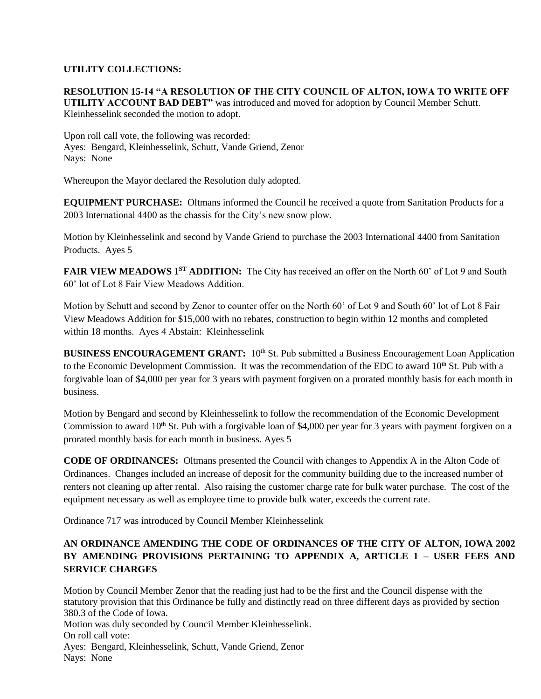# **UTILITY COLLECTIONS:**

**RESOLUTION 15-14 "A RESOLUTION OF THE CITY COUNCIL OF ALTON, IOWA TO WRITE OFF UTILITY ACCOUNT BAD DEBT"** was introduced and moved for adoption by Council Member Schutt. Kleinhesselink seconded the motion to adopt.

Upon roll call vote, the following was recorded: Ayes: Bengard, Kleinhesselink, Schutt, Vande Griend, Zenor Nays: None

Whereupon the Mayor declared the Resolution duly adopted.

**EQUIPMENT PURCHASE:** Oltmans informed the Council he received a quote from Sanitation Products for a 2003 International 4400 as the chassis for the City's new snow plow.

Motion by Kleinhesselink and second by Vande Griend to purchase the 2003 International 4400 from Sanitation Products. Ayes 5

**FAIR VIEW MEADOWS 1ST ADDITION:** The City has received an offer on the North 60' of Lot 9 and South 60' lot of Lot 8 Fair View Meadows Addition.

Motion by Schutt and second by Zenor to counter offer on the North 60' of Lot 9 and South 60' lot of Lot 8 Fair View Meadows Addition for \$15,000 with no rebates, construction to begin within 12 months and completed within 18 months. Ayes 4 Abstain: Kleinhesselink

**BUSINESS ENCOURAGEMENT GRANT:** 10<sup>th</sup> St. Pub submitted a Business Encouragement Loan Application to the Economic Development Commission. It was the recommendation of the EDC to award 10<sup>th</sup> St. Pub with a forgivable loan of \$4,000 per year for 3 years with payment forgiven on a prorated monthly basis for each month in business.

Motion by Bengard and second by Kleinhesselink to follow the recommendation of the Economic Development Commission to award  $10<sup>th</sup>$  St. Pub with a forgivable loan of \$4,000 per year for 3 years with payment forgiven on a prorated monthly basis for each month in business. Ayes 5

**CODE OF ORDINANCES:** Oltmans presented the Council with changes to Appendix A in the Alton Code of Ordinances. Changes included an increase of deposit for the community building due to the increased number of renters not cleaning up after rental. Also raising the customer charge rate for bulk water purchase. The cost of the equipment necessary as well as employee time to provide bulk water, exceeds the current rate.

Ordinance 717 was introduced by Council Member Kleinhesselink

# **AN ORDINANCE AMENDING THE CODE OF ORDINANCES OF THE CITY OF ALTON, IOWA 2002 BY AMENDING PROVISIONS PERTAINING TO APPENDIX A, ARTICLE 1 – USER FEES AND SERVICE CHARGES**

Motion by Council Member Zenor that the reading just had to be the first and the Council dispense with the statutory provision that this Ordinance be fully and distinctly read on three different days as provided by section 380.3 of the Code of Iowa.

Motion was duly seconded by Council Member Kleinhesselink. On roll call vote: Ayes: Bengard, Kleinhesselink, Schutt, Vande Griend, Zenor Nays: None